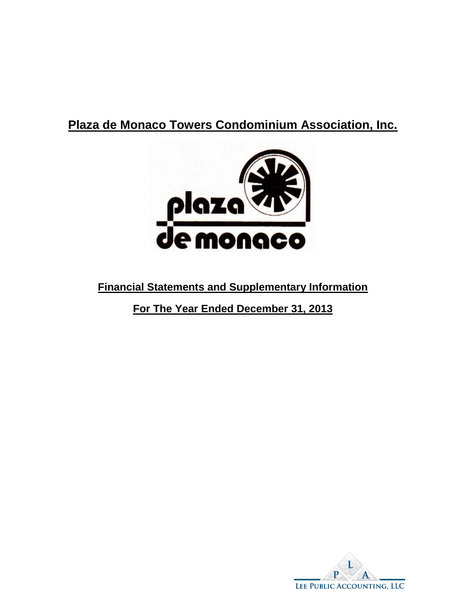# **Plaza de Monaco Towers Condominium Association, Inc.**



# **Financial Statements and Supplementary Information**

**For The Year Ended December 31, 2013**

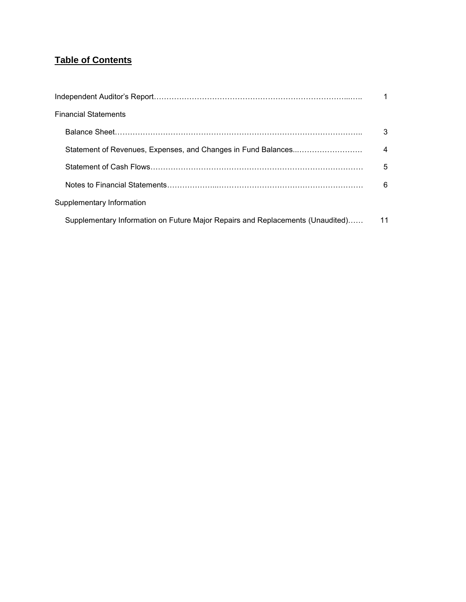# **Table of Contents**

| <b>Financial Statements</b>                                                    |                |
|--------------------------------------------------------------------------------|----------------|
|                                                                                | 3              |
| Statement of Revenues, Expenses, and Changes in Fund Balances                  | $\overline{a}$ |
|                                                                                | 5              |
|                                                                                | 6              |
| Supplementary Information                                                      |                |
| Supplementary Information on Future Major Repairs and Replacements (Unaudited) | 11             |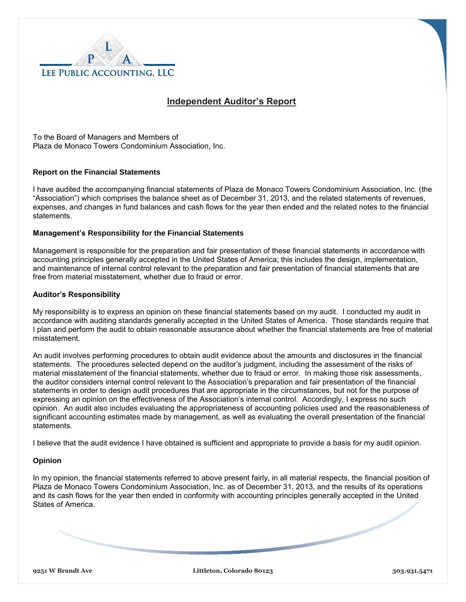

## **Independent Auditor's Report**

To the Board of Managers and Members of Plaza de Monaco Towers Condominium Association, Inc.

#### **Report on the Financial Statements**

I have audited the accompanying financial statements of Plaza de Monaco Towers Condominium Association, Inc. (the "Association") which comprises the balance sheet as of December 31, 2013, and the related statements of revenues, expenses, and changes in fund balances and cash flows for the year then ended and the related notes to the financial statements.

#### **Management's Responsibility for the Financial Statements**

Management is responsible for the preparation and fair presentation of these financial statements in accordance with accounting principles generally accepted in the United States of America; this includes the design, implementation, and maintenance of internal control relevant to the preparation and fair presentation of financial statements that are free from material misstatement, whether due to fraud or error.

#### **Auditor's Responsibility**

My responsibility is to express an opinion on these financial statements based on my audit. I conducted my audit in accordance with auditing standards generally accepted in the United States of America. Those standards require that I plan and perform the audit to obtain reasonable assurance about whether the financial statements are free of material misstatement.

An audit involves performing procedures to obtain audit evidence about the amounts and disclosures in the financial statements. The procedures selected depend on the auditor's judgment, including the assessment of the risks of material misstatement of the financial statements, whether due to fraud or error. In making those risk assessments, the auditor considers internal control relevant to the Association's preparation and fair presentation of the financial statements in order to design audit procedures that are appropriate in the circumstances, but not for the purpose of expressing an opinion on the effectiveness of the Association's internal control. Accordingly, I express no such opinion. An audit also includes evaluating the appropriateness of accounting policies used and the reasonableness of significant accounting estimates made by management, as well as evaluating the overall presentation of the financial statements.

I believe that the audit evidence I have obtained is sufficient and appropriate to provide a basis for my audit opinion.

#### **Opinion**

In my opinion, the financial statements referred to above present fairly, in all material respects, the financial position of Plaza de Monaco Towers Condominium Association, Inc. as of December 31, 2013, and the results of its operations and its cash flows for the year then ended in conformity with accounting principles generally accepted in the United States of America.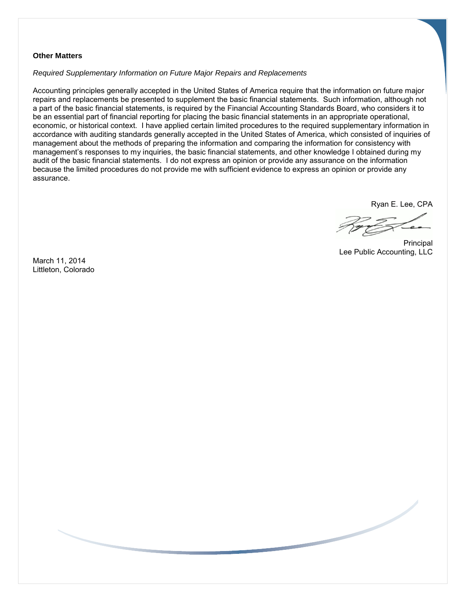#### **Other Matters**

*Required Supplementary Information on Future Major Repairs and Replacements*

Accounting principles generally accepted in the United States of America require that the information on future major repairs and replacements be presented to supplement the basic financial statements. Such information, although not a part of the basic financial statements, is required by the Financial Accounting Standards Board, who considers it to be an essential part of financial reporting for placing the basic financial statements in an appropriate operational, economic, or historical context. I have applied certain limited procedures to the required supplementary information in accordance with auditing standards generally accepted in the United States of America, which consisted of inquiries of management about the methods of preparing the information and comparing the information for consistency with management's responses to my inquiries, the basic financial statements, and other knowledge I obtained during my audit of the basic financial statements. I do not express an opinion or provide any assurance on the information because the limited procedures do not provide me with sufficient evidence to express an opinion or provide any assurance.

Ryan E. Lee, CPA

Principal Lee Public Accounting, LLC

March 11, 2014 Littleton, Colorado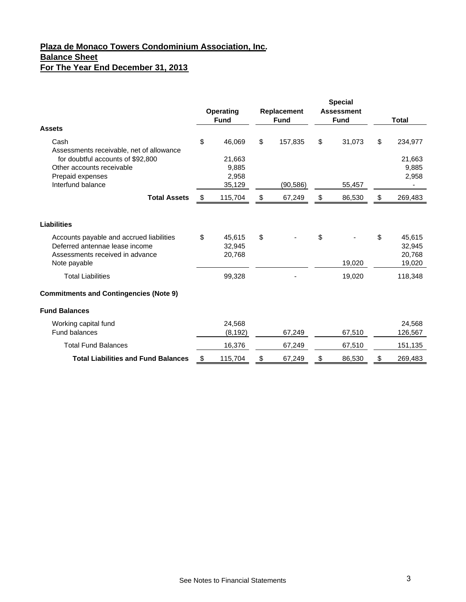# **Plaza de Monaco Towers Condominium Association, Inc. Balance Sheet For The Year End December 31, 2013**

|                                               | <b>Operating</b><br><b>Fund</b> | Replacement<br><b>Fund</b> | <b>Special</b><br><b>Assessment</b><br><b>Fund</b> | <b>Total</b>  |
|-----------------------------------------------|---------------------------------|----------------------------|----------------------------------------------------|---------------|
| <b>Assets</b>                                 |                                 |                            |                                                    |               |
| Cash                                          | \$<br>46,069                    | \$<br>157,835              | \$<br>31,073                                       | \$<br>234,977 |
| Assessments receivable, net of allowance      |                                 |                            |                                                    |               |
| for doubtful accounts of \$92,800             | 21,663                          |                            |                                                    | 21,663        |
| Other accounts receivable                     | 9,885                           |                            |                                                    | 9,885         |
| Prepaid expenses                              | 2,958                           |                            |                                                    | 2,958         |
| Interfund balance                             | 35,129                          | (90, 586)                  | 55,457                                             |               |
| <b>Total Assets</b>                           | \$<br>115,704                   | \$<br>67,249               | \$<br>86,530                                       | \$<br>269,483 |
| Liabilities                                   |                                 |                            |                                                    |               |
| Accounts payable and accrued liabilities      | \$<br>45,615                    | \$                         | \$                                                 | \$<br>45,615  |
| Deferred antennae lease income                | 32,945                          |                            |                                                    | 32,945        |
| Assessments received in advance               | 20,768                          |                            |                                                    | 20,768        |
| Note payable                                  |                                 |                            | 19,020                                             | 19,020        |
| <b>Total Liabilities</b>                      | 99,328                          |                            | 19,020                                             | 118,348       |
| <b>Commitments and Contingencies (Note 9)</b> |                                 |                            |                                                    |               |
| <b>Fund Balances</b>                          |                                 |                            |                                                    |               |
| Working capital fund                          | 24,568                          |                            |                                                    | 24,568        |
| Fund balances                                 | (8, 192)                        | 67,249                     | 67,510                                             | 126,567       |
| <b>Total Fund Balances</b>                    | 16,376                          | 67,249                     | 67,510                                             | 151,135       |
| <b>Total Liabilities and Fund Balances</b>    | \$<br>115,704                   | \$<br>67,249               | \$<br>86,530                                       | \$<br>269,483 |
|                                               |                                 |                            |                                                    |               |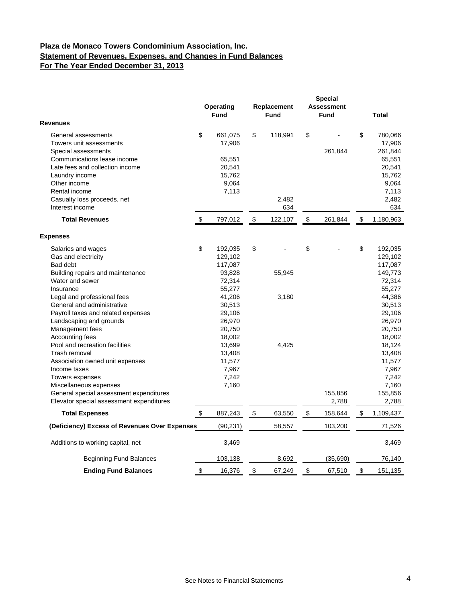### **Plaza de Monaco Towers Condominium Association, Inc. Statement of Revenues, Expenses, and Changes in Fund Balances For The Year Ended December 31, 2013**

| <b>Revenues</b>                                                                                                                                                                                                                        |                           | Operating<br><b>Fund</b>                                    |    | Replacement<br><b>Fund</b> |    | <b>Special</b><br><b>Assessment</b><br><b>Fund</b> |    | <b>Total</b>                                                              |
|----------------------------------------------------------------------------------------------------------------------------------------------------------------------------------------------------------------------------------------|---------------------------|-------------------------------------------------------------|----|----------------------------|----|----------------------------------------------------|----|---------------------------------------------------------------------------|
| General assessments<br>Towers unit assessments<br>Special assessments<br>Communications lease income<br>Late fees and collection income<br>Laundry income<br>Other income                                                              | \$                        | 661,075<br>17,906<br>65,551<br>20,541<br>15,762<br>9,064    | \$ | 118,991                    | \$ | 261,844                                            | \$ | 780,066<br>17,906<br>261,844<br>65,551<br>20,541<br>15,762<br>9,064       |
| Rental income<br>Casualty loss proceeds, net<br>Interest income                                                                                                                                                                        |                           | 7,113                                                       |    | 2,482<br>634               |    |                                                    |    | 7,113<br>2,482<br>634                                                     |
| <b>Total Revenues</b>                                                                                                                                                                                                                  | \$                        | 797,012                                                     | \$ | 122,107                    | \$ | 261,844                                            | \$ | 1,180,963                                                                 |
| <b>Expenses</b>                                                                                                                                                                                                                        |                           |                                                             |    |                            |    |                                                    |    |                                                                           |
| Salaries and wages<br>Gas and electricity<br>Bad debt<br>Building repairs and maintenance<br>Water and sewer<br>Insurance                                                                                                              | \$                        | 192,035<br>129,102<br>117,087<br>93,828<br>72,314<br>55,277 | \$ | 55,945                     | \$ |                                                    | \$ | 192,035<br>129,102<br>117,087<br>149,773<br>72,314<br>55,277              |
| Legal and professional fees<br>General and administrative<br>Payroll taxes and related expenses<br>Landscaping and grounds<br>Management fees<br>Accounting fees                                                                       |                           | 41,206<br>30,513<br>29,106<br>26,970<br>20,750<br>18,002    |    | 3,180                      |    |                                                    |    | 44,386<br>30,513<br>29,106<br>26,970<br>20,750<br>18,002                  |
| Pool and recreation facilities<br>Trash removal<br>Association owned unit expenses<br>Income taxes<br>Towers expenses<br>Miscellaneous expenses<br>General special assessment expenditures<br>Elevator special assessment expenditures |                           | 13,699<br>13,408<br>11,577<br>7,967<br>7,242<br>7,160       |    | 4,425                      |    | 155,856<br>2,788                                   |    | 18,124<br>13,408<br>11,577<br>7,967<br>7,242<br>7,160<br>155,856<br>2,788 |
| <b>Total Expenses</b>                                                                                                                                                                                                                  | \$                        | 887,243                                                     | \$ | 63,550                     | \$ | 158,644                                            | \$ | 1,109,437                                                                 |
| (Deficiency) Excess of Revenues Over Expenses                                                                                                                                                                                          |                           | (90, 231)                                                   |    | 58,557                     |    | 103,200                                            |    | 71,526                                                                    |
| Additions to working capital, net                                                                                                                                                                                                      |                           | 3,469                                                       |    |                            |    |                                                    |    | 3,469                                                                     |
| <b>Beginning Fund Balances</b>                                                                                                                                                                                                         |                           | 103,138                                                     |    | 8,692                      |    | (35,690)                                           |    | 76,140                                                                    |
| <b>Ending Fund Balances</b>                                                                                                                                                                                                            | $\boldsymbol{\mathsf{S}}$ | 16,376                                                      | \$ | 67,249                     | \$ | 67,510                                             | \$ | 151,135                                                                   |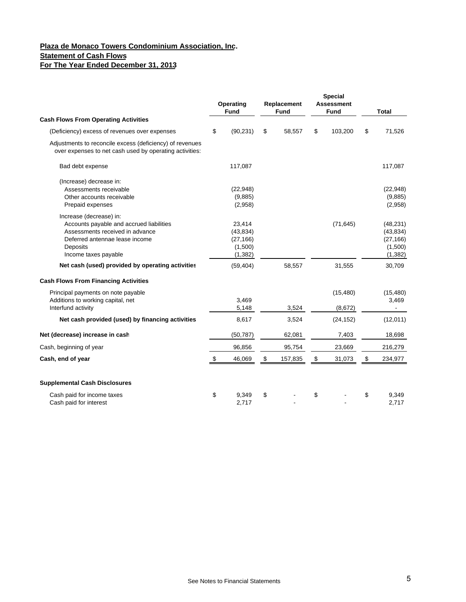### **Plaza de Monaco Towers Condominium Association, Inc. Statement of Cash Flows For The Year Ended December 31, 2013**

|                                                                                                                                                                              | Operating<br><b>Fund</b>                                | Replacement<br><b>Fund</b> | <b>Special</b><br><b>Assessment</b><br><b>Fund</b> | <b>Total</b>                                               |
|------------------------------------------------------------------------------------------------------------------------------------------------------------------------------|---------------------------------------------------------|----------------------------|----------------------------------------------------|------------------------------------------------------------|
| <b>Cash Flows From Operating Activities</b>                                                                                                                                  |                                                         |                            |                                                    |                                                            |
| (Deficiency) excess of revenues over expenses                                                                                                                                | \$<br>(90, 231)                                         | \$<br>58,557               | \$<br>103,200                                      | \$<br>71,526                                               |
| Adjustments to reconcile excess (deficiency) of revenues<br>over expenses to net cash used by operating activities:                                                          |                                                         |                            |                                                    |                                                            |
| Bad debt expense                                                                                                                                                             | 117,087                                                 |                            |                                                    | 117,087                                                    |
| (Increase) decrease in:<br>Assessments receivable<br>Other accounts receivable<br>Prepaid expenses                                                                           | (22, 948)<br>(9,885)<br>(2,958)                         |                            |                                                    | (22, 948)<br>(9,885)<br>(2,958)                            |
| Increase (decrease) in:<br>Accounts payable and accrued liabilities<br>Assessments received in advance<br>Deferred antennae lease income<br>Deposits<br>Income taxes payable | 23,414<br>(43, 834)<br>(27, 166)<br>(1,500)<br>(1, 382) |                            | (71, 645)                                          | (48, 231)<br>(43, 834)<br>(27, 166)<br>(1,500)<br>(1, 382) |
| Net cash (used) provided by operating activities                                                                                                                             | (59, 404)                                               | 58,557                     | 31,555                                             | 30,709                                                     |
| <b>Cash Flows From Financing Activities</b>                                                                                                                                  |                                                         |                            |                                                    |                                                            |
| Principal payments on note payable<br>Additions to working capital, net<br>Interfund activity<br>Net cash provided (used) by financing activities                            | 3,469<br>5,148<br>8,617                                 | 3,524<br>3,524             | (15, 480)<br>(8,672)<br>(24, 152)                  | (15, 480)<br>3,469<br>$\blacksquare$<br>(12,011)           |
| Net (decrease) increase in cash                                                                                                                                              | (50, 787)                                               | 62,081                     | 7,403                                              | 18,698                                                     |
| Cash, beginning of year                                                                                                                                                      | 96,856                                                  | 95,754                     | 23,669                                             | 216,279                                                    |
| Cash, end of year                                                                                                                                                            | \$<br>46,069                                            | \$<br>157,835              | \$<br>31,073                                       | \$<br>234,977                                              |
| <b>Supplemental Cash Disclosures</b>                                                                                                                                         |                                                         |                            |                                                    |                                                            |
| Cash paid for income taxes<br>Cash paid for interest                                                                                                                         | \$<br>9,349<br>2,717                                    | \$                         | \$                                                 | \$<br>9,349<br>2,717                                       |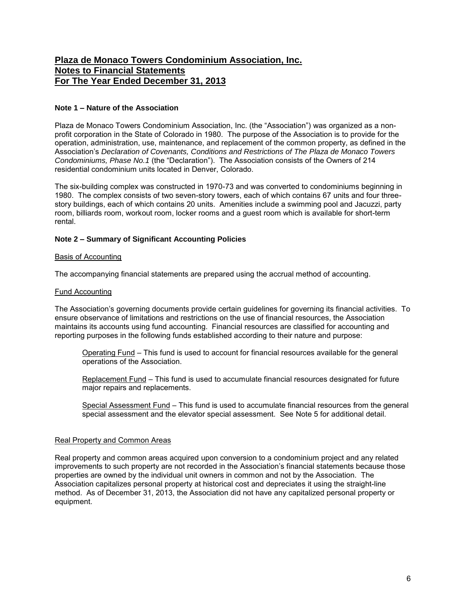#### **Note 1 – Nature of the Association**

Plaza de Monaco Towers Condominium Association, Inc. (the "Association") was organized as a nonprofit corporation in the State of Colorado in 1980. The purpose of the Association is to provide for the operation, administration, use, maintenance, and replacement of the common property, as defined in the Association's *Declaration of Covenants, Conditions and Restrictions of The Plaza de Monaco Towers Condominiums, Phase No.1* (the "Declaration"). The Association consists of the Owners of 214 residential condominium units located in Denver, Colorado.

The six-building complex was constructed in 1970-73 and was converted to condominiums beginning in 1980. The complex consists of two seven-story towers, each of which contains 67 units and four threestory buildings, each of which contains 20 units. Amenities include a swimming pool and Jacuzzi, party room, billiards room, workout room, locker rooms and a guest room which is available for short-term rental.

#### **Note 2 – Summary of Significant Accounting Policies**

#### Basis of Accounting

The accompanying financial statements are prepared using the accrual method of accounting.

#### Fund Accounting

The Association's governing documents provide certain guidelines for governing its financial activities. To ensure observance of limitations and restrictions on the use of financial resources, the Association maintains its accounts using fund accounting. Financial resources are classified for accounting and reporting purposes in the following funds established according to their nature and purpose:

 Operating Fund – This fund is used to account for financial resources available for the general operations of the Association.

 Replacement Fund – This fund is used to accumulate financial resources designated for future major repairs and replacements.

Special Assessment Fund - This fund is used to accumulate financial resources from the general special assessment and the elevator special assessment. See Note 5 for additional detail.

#### Real Property and Common Areas

Real property and common areas acquired upon conversion to a condominium project and any related improvements to such property are not recorded in the Association's financial statements because those properties are owned by the individual unit owners in common and not by the Association. The Association capitalizes personal property at historical cost and depreciates it using the straight-line method. As of December 31, 2013, the Association did not have any capitalized personal property or equipment.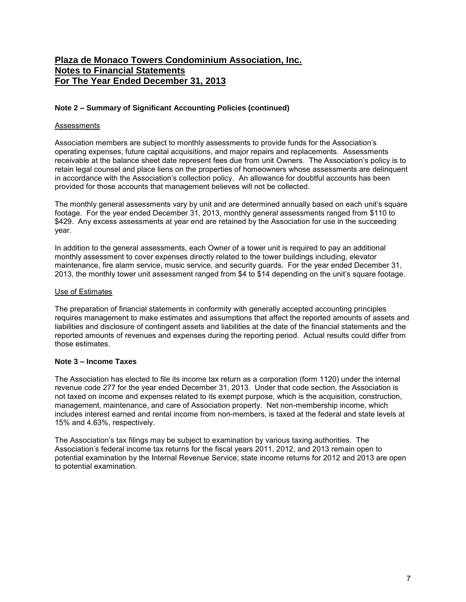#### **Note 2 – Summary of Significant Accounting Policies (continued)**

#### Assessments

Association members are subject to monthly assessments to provide funds for the Association's operating expenses, future capital acquisitions, and major repairs and replacements. Assessments receivable at the balance sheet date represent fees due from unit Owners. The Association's policy is to retain legal counsel and place liens on the properties of homeowners whose assessments are delinquent in accordance with the Association's collection policy. An allowance for doubtful accounts has been provided for those accounts that management believes will not be collected.

The monthly general assessments vary by unit and are determined annually based on each unit's square footage. For the year ended December 31, 2013, monthly general assessments ranged from \$110 to \$429. Any excess assessments at year end are retained by the Association for use in the succeeding year.

In addition to the general assessments, each Owner of a tower unit is required to pay an additional monthly assessment to cover expenses directly related to the tower buildings including, elevator maintenance, fire alarm service, music service, and security guards. For the year ended December 31, 2013, the monthly tower unit assessment ranged from \$4 to \$14 depending on the unit's square footage.

#### Use of Estimates

The preparation of financial statements in conformity with generally accepted accounting principles requires management to make estimates and assumptions that affect the reported amounts of assets and liabilities and disclosure of contingent assets and liabilities at the date of the financial statements and the reported amounts of revenues and expenses during the reporting period. Actual results could differ from those estimates.

#### **Note 3 – Income Taxes**

The Association has elected to file its income tax return as a corporation (form 1120) under the internal revenue code 277 for the year ended December 31, 2013. Under that code section, the Association is not taxed on income and expenses related to its exempt purpose, which is the acquisition, construction, management, maintenance, and care of Association property. Net non-membership income, which includes interest earned and rental income from non-members, is taxed at the federal and state levels at 15% and 4.63%, respectively.

The Association's tax filings may be subject to examination by various taxing authorities. The Association's federal income tax returns for the fiscal years 2011, 2012, and 2013 remain open to potential examination by the Internal Revenue Service; state income returns for 2012 and 2013 are open to potential examination.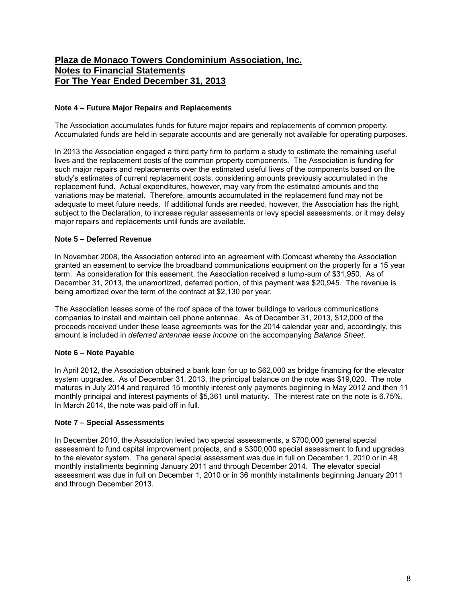#### **Note 4 – Future Major Repairs and Replacements**

The Association accumulates funds for future major repairs and replacements of common property. Accumulated funds are held in separate accounts and are generally not available for operating purposes.

In 2013 the Association engaged a third party firm to perform a study to estimate the remaining useful lives and the replacement costs of the common property components. The Association is funding for such major repairs and replacements over the estimated useful lives of the components based on the study's estimates of current replacement costs, considering amounts previously accumulated in the replacement fund. Actual expenditures, however, may vary from the estimated amounts and the variations may be material. Therefore, amounts accumulated in the replacement fund may not be adequate to meet future needs. If additional funds are needed, however, the Association has the right, subject to the Declaration, to increase regular assessments or levy special assessments, or it may delay major repairs and replacements until funds are available.

#### **Note 5 – Deferred Revenue**

In November 2008, the Association entered into an agreement with Comcast whereby the Association granted an easement to service the broadband communications equipment on the property for a 15 year term. As consideration for this easement, the Association received a lump-sum of \$31,950. As of December 31, 2013, the unamortized, deferred portion, of this payment was \$20,945. The revenue is being amortized over the term of the contract at \$2,130 per year.

The Association leases some of the roof space of the tower buildings to various communications companies to install and maintain cell phone antennae. As of December 31, 2013, \$12,000 of the proceeds received under these lease agreements was for the 2014 calendar year and, accordingly, this amount is included in *deferred antennae lease income* on the accompanying *Balance Sheet*.

#### **Note 6 – Note Payable**

In April 2012, the Association obtained a bank loan for up to \$62,000 as bridge financing for the elevator system upgrades. As of December 31, 2013, the principal balance on the note was \$19,020. The note matures in July 2014 and required 15 monthly interest only payments beginning in May 2012 and then 11 monthly principal and interest payments of \$5,361 until maturity. The interest rate on the note is 6.75%. In March 2014, the note was paid off in full.

#### **Note 7 – Special Assessments**

In December 2010, the Association levied two special assessments, a \$700,000 general special assessment to fund capital improvement projects, and a \$300,000 special assessment to fund upgrades to the elevator system. The general special assessment was due in full on December 1, 2010 or in 48 monthly installments beginning January 2011 and through December 2014. The elevator special assessment was due in full on December 1, 2010 or in 36 monthly installments beginning January 2011 and through December 2013.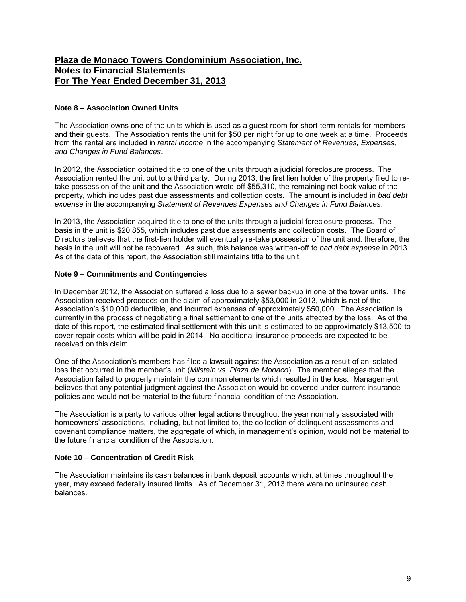#### **Note 8 – Association Owned Units**

The Association owns one of the units which is used as a guest room for short-term rentals for members and their guests. The Association rents the unit for \$50 per night for up to one week at a time. Proceeds from the rental are included in *rental income* in the accompanying *Statement of Revenues, Expenses, and Changes in Fund Balances*.

In 2012, the Association obtained title to one of the units through a judicial foreclosure process. The Association rented the unit out to a third party. During 2013, the first lien holder of the property filed to retake possession of the unit and the Association wrote-off \$55,310, the remaining net book value of the property, which includes past due assessments and collection costs. The amount is included in *bad debt expense* in the accompanying *Statement of Revenues Expenses and Changes in Fund Balances*.

In 2013, the Association acquired title to one of the units through a judicial foreclosure process. The basis in the unit is \$20,855, which includes past due assessments and collection costs. The Board of Directors believes that the first-lien holder will eventually re-take possession of the unit and, therefore, the basis in the unit will not be recovered. As such, this balance was written-off to *bad debt expense* in 2013. As of the date of this report, the Association still maintains title to the unit.

#### **Note 9 – Commitments and Contingencies**

In December 2012, the Association suffered a loss due to a sewer backup in one of the tower units. The Association received proceeds on the claim of approximately \$53,000 in 2013, which is net of the Association's \$10,000 deductible, and incurred expenses of approximately \$50,000. The Association is currently in the process of negotiating a final settlement to one of the units affected by the loss. As of the date of this report, the estimated final settlement with this unit is estimated to be approximately \$13,500 to cover repair costs which will be paid in 2014. No additional insurance proceeds are expected to be received on this claim.

One of the Association's members has filed a lawsuit against the Association as a result of an isolated loss that occurred in the member's unit (*Milstein vs. Plaza de Monaco*). The member alleges that the Association failed to properly maintain the common elements which resulted in the loss. Management believes that any potential judgment against the Association would be covered under current insurance policies and would not be material to the future financial condition of the Association.

The Association is a party to various other legal actions throughout the year normally associated with homeowners' associations, including, but not limited to, the collection of delinquent assessments and covenant compliance matters, the aggregate of which, in management's opinion, would not be material to the future financial condition of the Association.

#### **Note 10 – Concentration of Credit Risk**

The Association maintains its cash balances in bank deposit accounts which, at times throughout the year, may exceed federally insured limits. As of December 31, 2013 there were no uninsured cash balances.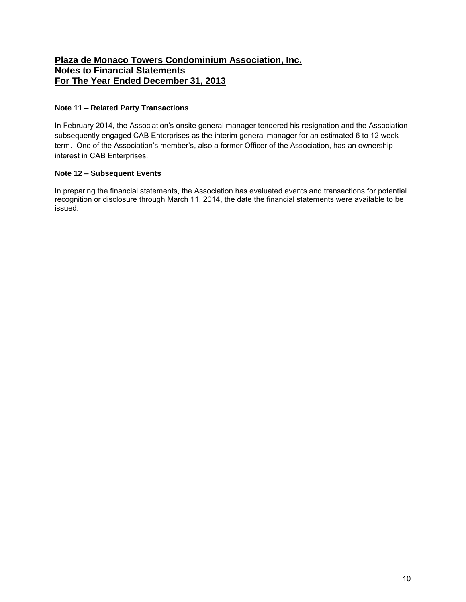#### **Note 11 – Related Party Transactions**

In February 2014, the Association's onsite general manager tendered his resignation and the Association subsequently engaged CAB Enterprises as the interim general manager for an estimated 6 to 12 week term. One of the Association's member's, also a former Officer of the Association, has an ownership interest in CAB Enterprises.

### **Note 12 – Subsequent Events**

In preparing the financial statements, the Association has evaluated events and transactions for potential recognition or disclosure through March 11, 2014, the date the financial statements were available to be issued.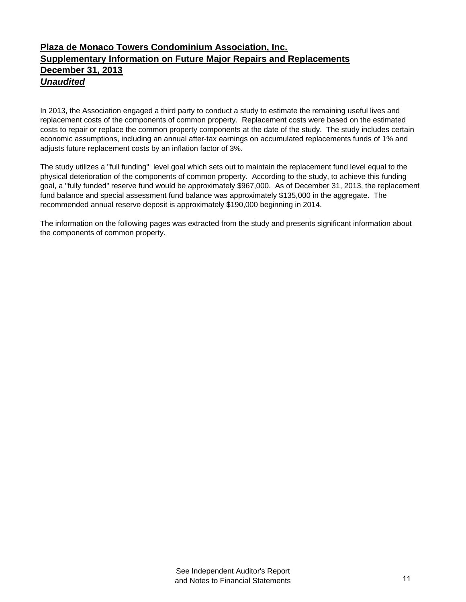# *Unaudited* **Plaza de Monaco Towers Condominium Association, Inc. Supplementary Information on Future Major Repairs and Replacements December 31, 2013**

In 2013, the Association engaged a third party to conduct a study to estimate the remaining useful lives and replacement costs of the components of common property. Replacement costs were based on the estimated costs to repair or replace the common property components at the date of the study. The study includes certain economic assumptions, including an annual after-tax earnings on accumulated replacements funds of 1% and adjusts future replacement costs by an inflation factor of 3%.

The study utilizes a "full funding" level goal which sets out to maintain the replacement fund level equal to the physical deterioration of the components of common property. According to the study, to achieve this funding goal, a "fully funded" reserve fund would be approximately \$967,000. As of December 31, 2013, the replacement fund balance and special assessment fund balance was approximately \$135,000 in the aggregate. The recommended annual reserve deposit is approximately \$190,000 beginning in 2014.

The information on the following pages was extracted from the study and presents significant information about the components of common property.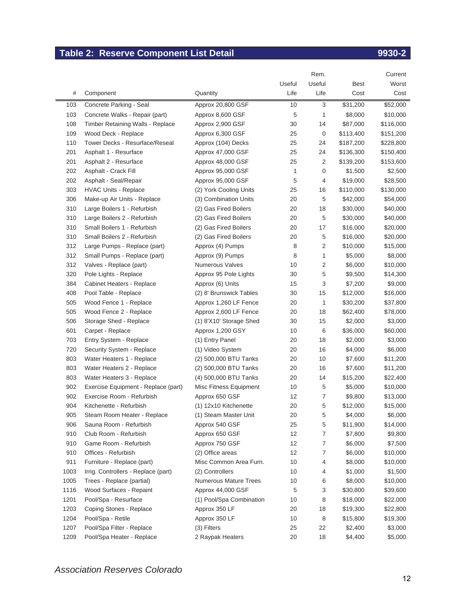# **Table 2: Reserve Component List Detail Component List Detail 9930-2**

|      |                                     |                          |        | Rem.           |           | Current   |
|------|-------------------------------------|--------------------------|--------|----------------|-----------|-----------|
|      |                                     |                          | Useful | Useful         | Best      | Worst     |
| #    | Component                           | Quantity                 | Life   | Life           | Cost      | Cost      |
| 103  | Concrete Parking - Seal             | Approx 20,800 GSF        | 10     | 3              | \$31,200  | \$52,000  |
| 103  | Concrete Walks - Repair (part)      | Approx 8,600 GSF         | 5      | 1              | \$8,000   | \$10,000  |
| 108  | Timber Retaining Walls - Replace    | Approx 2,900 GSF         | 30     | 14             | \$87,000  | \$116,000 |
| 109  | Wood Deck - Replace                 | Approx 6,300 GSF         | 25     | 0              | \$113,400 | \$151,200 |
| 110  | Tower Decks - Resurface/Reseal      | Approx (104) Decks       | 25     | 24             | \$187,200 | \$228,800 |
| 201  | Asphalt 1 - Resurface               | Approx 47,000 GSF        | 25     | 24             | \$136,300 | \$150,400 |
| 201  | Asphalt 2 - Resurface               | Approx 48,000 GSF        | 25     | 2              | \$139,200 | \$153,600 |
| 202  | Asphalt - Crack Fill                | Approx 95,000 GSF        | 1      | 0              | \$1,500   | \$2,500   |
| 202  | Asphalt - Seal/Repair               | Approx 95,000 GSF        | 5      | 4              | \$19,000  | \$28,500  |
| 303  | <b>HVAC Units - Replace</b>         | (2) York Cooling Units   | 25     | 16             | \$110,000 | \$130,000 |
| 306  | Make-up Air Units - Replace         | (3) Combination Units    | 20     | 5              | \$42,000  | \$54,000  |
| 310  | Large Boilers 1 - Refurbish         | (2) Gas Fired Boilers    | 20     | 18             | \$30,000  | \$40,000  |
| 310  | Large Boilers 2 - Refurbish         | (2) Gas Fired Boilers    | 20     | 5              | \$30,000  | \$40,000  |
| 310  | Small Boilers 1 - Refurbish         | (2) Gas Fired Boilers    | 20     | 17             | \$16,000  | \$20,000  |
| 310  | Small Boilers 2 - Refurbish         | (2) Gas Fired Boilers    | 20     | 5              | \$16,000  | \$20,000  |
| 312  | Large Pumps - Replace (part)        | Approx (4) Pumps         | 8      | 2              | \$10,000  | \$15,000  |
| 312  | Small Pumps - Replace (part)        | Approx (9) Pumps         | 8      | 1              | \$5,000   | \$8,000   |
| 312  | Valves - Replace (part)             | Numerous Valves          | 10     | 2              | \$6,000   | \$10,000  |
| 320  | Pole Lights - Replace               | Approx 95 Pole Lights    | 30     | 5              | \$9,500   | \$14,300  |
| 384  | Cabinet Heaters - Replace           | Approx (6) Units         | 15     | 3              | \$7,200   | \$9,000   |
| 408  | Pool Table - Replace                | (2) 8' Brunswick Tables  | 30     | 15             | \$12,000  | \$16,000  |
| 505  | Wood Fence 1 - Replace              | Approx 1,260 LF Fence    | 20     | 1              | \$30,200  | \$37,800  |
| 505  | Wood Fence 2 - Replace              | Approx 2,600 LF Fence    | 20     | 18             | \$62,400  | \$78,000  |
| 506  | Storage Shed - Replace              | (1) 8'X10' Storage Shed  | 30     | 15             | \$2,000   | \$3,000   |
| 601  | Carpet - Replace                    | Approx 1,200 GSY         | 10     | 6              | \$36,000  | \$60,000  |
| 703  | Entry System - Replace              | (1) Entry Panel          | 20     | 18             | \$2,000   | \$3,000   |
| 720  | Security System - Replace           | (1) Video System         | 20     | 16             | \$4,000   | \$6,000   |
| 803  | Water Heaters 1 - Replace           | (2) 500,000 BTU Tanks    | 20     | 10             | \$7,600   | \$11,200  |
| 803  | Water Heaters 2 - Replace           | (2) 500,000 BTU Tanks    | 20     | 16             | \$7,600   | \$11,200  |
| 803  | Water Heaters 3 - Replace           | (4) 500,000 BTU Tanks    | 20     | 14             | \$15,200  | \$22,400  |
| 902  | Exercise Equipment - Replace (part) | Misc Fitness Equipment   | 10     | 5              | \$5,000   | \$10,000  |
| 902  | Exercise Room - Refurbish           | Approx 650 GSF           | 12     | $\overline{7}$ | \$9,800   | \$13,000  |
| 904  | Kitchenette - Refurbish             | (1) 12x10 Kitchenette    | 20     | 5              | \$12,000  | \$15,000  |
| 905  | Steam Room Heater - Replace         | (1) Steam Master Unit    | 20     | 5              | \$4,000   | \$6,000   |
| 906  | Sauna Room - Refurbish              | Approx 540 GSF           | 25     | 5              | \$11,900  | \$14,000  |
| 910  | Club Room - Refurbish               | Approx 650 GSF           | 12     | 7              | \$7,800   | \$9,800   |
| 910  | Game Room - Refurbish               | Approx 750 GSF           | 12     | 7              | \$6,000   | \$7,500   |
| 910  | Offices - Refurbish                 | (2) Office areas         | 12     | 7              | \$6,000   | \$10,000  |
| 911  | Furniture - Replace (part)          | Misc Common Area Furn.   | 10     | 4              | \$8,000   | \$10,000  |
| 1003 | Irrig. Controllers - Replace (part) | (2) Controllers          | 10     | 4              | \$1,000   | \$1,500   |
| 1005 | Trees - Replace (partial)           | Numerous Mature Trees    | 10     | 6              | \$8,000   | \$10,000  |
| 1116 | Wood Surfaces - Repaint             | Approx 44,000 GSF        | 5      | 3              | \$30,800  | \$39,600  |
| 1201 | Pool/Spa - Resurface                | (1) Pool/Spa Combination | 10     | 8              | \$18,000  | \$22,000  |
| 1203 | Coping Stones - Replace             | Approx 350 LF            | 20     | 18             | \$19,300  | \$22,800  |
| 1204 | Pool/Spa - Retile                   | Approx 350 LF            | 10     | 8              | \$15,800  | \$19,300  |
| 1207 | Pool/Spa Filter - Replace           | (3) Filters              | 25     | 22             | \$2,400   | \$3,000   |
| 1209 | Pool/Spa Heater - Replace           | 2 Raypak Heaters         | 20     | 18             | \$4,400   | \$5,000   |